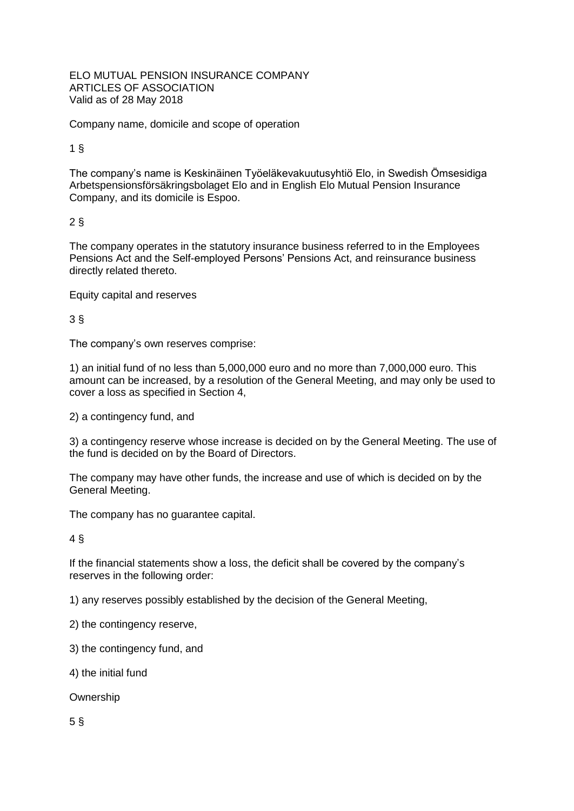ELO MUTUAL PENSION INSURANCE COMPANY ARTICLES OF ASSOCIATION Valid as of 28 May 2018

Company name, domicile and scope of operation

1 §

The company's name is Keskinäinen Työeläkevakuutusyhtiö Elo, in Swedish Ömsesidiga Arbetspensionsförsäkringsbolaget Elo and in English Elo Mutual Pension Insurance Company, and its domicile is Espoo.

### 2 §

The company operates in the statutory insurance business referred to in the Employees Pensions Act and the Self-employed Persons' Pensions Act, and reinsurance business directly related thereto.

Equity capital and reserves

3 §

The company's own reserves comprise:

1) an initial fund of no less than 5,000,000 euro and no more than 7,000,000 euro. This amount can be increased, by a resolution of the General Meeting, and may only be used to cover a loss as specified in Section 4,

2) a contingency fund, and

3) a contingency reserve whose increase is decided on by the General Meeting. The use of the fund is decided on by the Board of Directors.

The company may have other funds, the increase and use of which is decided on by the General Meeting.

The company has no guarantee capital.

4 §

If the financial statements show a loss, the deficit shall be covered by the company's reserves in the following order:

1) any reserves possibly established by the decision of the General Meeting,

2) the contingency reserve,

3) the contingency fund, and

4) the initial fund

Ownership

5 §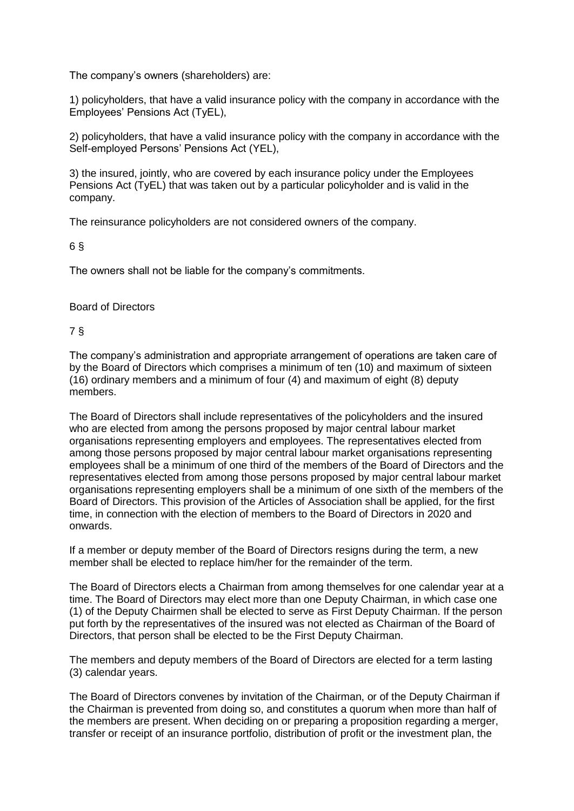The company's owners (shareholders) are:

1) policyholders, that have a valid insurance policy with the company in accordance with the Employees' Pensions Act (TyEL),

2) policyholders, that have a valid insurance policy with the company in accordance with the Self-employed Persons' Pensions Act (YEL),

3) the insured, jointly, who are covered by each insurance policy under the Employees Pensions Act (TyEL) that was taken out by a particular policyholder and is valid in the company.

The reinsurance policyholders are not considered owners of the company.

6 §

The owners shall not be liable for the company's commitments.

#### Board of Directors

7 §

The company's administration and appropriate arrangement of operations are taken care of by the Board of Directors which comprises a minimum of ten (10) and maximum of sixteen (16) ordinary members and a minimum of four (4) and maximum of eight (8) deputy members.

The Board of Directors shall include representatives of the policyholders and the insured who are elected from among the persons proposed by major central labour market organisations representing employers and employees. The representatives elected from among those persons proposed by major central labour market organisations representing employees shall be a minimum of one third of the members of the Board of Directors and the representatives elected from among those persons proposed by major central labour market organisations representing employers shall be a minimum of one sixth of the members of the Board of Directors. This provision of the Articles of Association shall be applied, for the first time, in connection with the election of members to the Board of Directors in 2020 and onwards.

If a member or deputy member of the Board of Directors resigns during the term, a new member shall be elected to replace him/her for the remainder of the term.

The Board of Directors elects a Chairman from among themselves for one calendar year at a time. The Board of Directors may elect more than one Deputy Chairman, in which case one (1) of the Deputy Chairmen shall be elected to serve as First Deputy Chairman. If the person put forth by the representatives of the insured was not elected as Chairman of the Board of Directors, that person shall be elected to be the First Deputy Chairman.

The members and deputy members of the Board of Directors are elected for a term lasting (3) calendar years.

The Board of Directors convenes by invitation of the Chairman, or of the Deputy Chairman if the Chairman is prevented from doing so, and constitutes a quorum when more than half of the members are present. When deciding on or preparing a proposition regarding a merger, transfer or receipt of an insurance portfolio, distribution of profit or the investment plan, the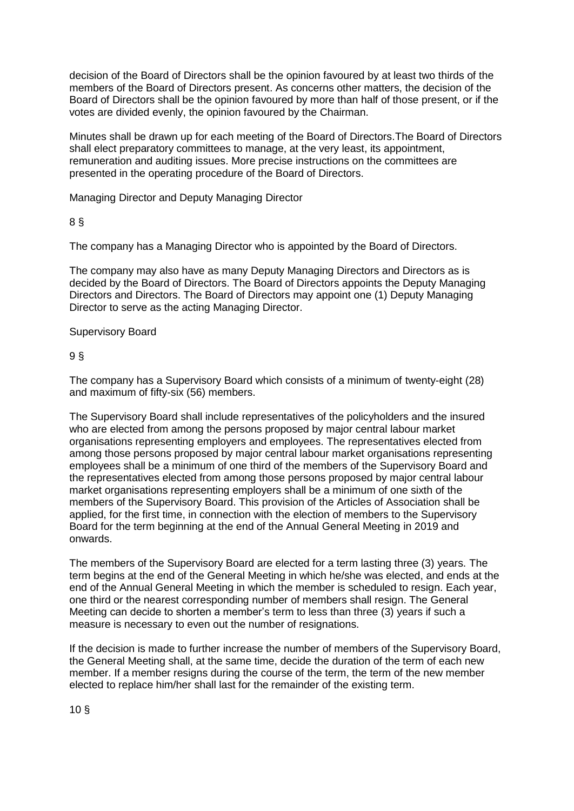decision of the Board of Directors shall be the opinion favoured by at least two thirds of the members of the Board of Directors present. As concerns other matters, the decision of the Board of Directors shall be the opinion favoured by more than half of those present, or if the votes are divided evenly, the opinion favoured by the Chairman.

Minutes shall be drawn up for each meeting of the Board of Directors.The Board of Directors shall elect preparatory committees to manage, at the very least, its appointment, remuneration and auditing issues. More precise instructions on the committees are presented in the operating procedure of the Board of Directors.

Managing Director and Deputy Managing Director

# 8 §

The company has a Managing Director who is appointed by the Board of Directors.

The company may also have as many Deputy Managing Directors and Directors as is decided by the Board of Directors. The Board of Directors appoints the Deputy Managing Directors and Directors. The Board of Directors may appoint one (1) Deputy Managing Director to serve as the acting Managing Director.

## Supervisory Board

# 9 §

The company has a Supervisory Board which consists of a minimum of twenty-eight (28) and maximum of fifty-six (56) members.

The Supervisory Board shall include representatives of the policyholders and the insured who are elected from among the persons proposed by major central labour market organisations representing employers and employees. The representatives elected from among those persons proposed by major central labour market organisations representing employees shall be a minimum of one third of the members of the Supervisory Board and the representatives elected from among those persons proposed by major central labour market organisations representing employers shall be a minimum of one sixth of the members of the Supervisory Board. This provision of the Articles of Association shall be applied, for the first time, in connection with the election of members to the Supervisory Board for the term beginning at the end of the Annual General Meeting in 2019 and onwards.

The members of the Supervisory Board are elected for a term lasting three (3) years. The term begins at the end of the General Meeting in which he/she was elected, and ends at the end of the Annual General Meeting in which the member is scheduled to resign. Each year, one third or the nearest corresponding number of members shall resign. The General Meeting can decide to shorten a member's term to less than three (3) years if such a measure is necessary to even out the number of resignations.

If the decision is made to further increase the number of members of the Supervisory Board, the General Meeting shall, at the same time, decide the duration of the term of each new member. If a member resigns during the course of the term, the term of the new member elected to replace him/her shall last for the remainder of the existing term.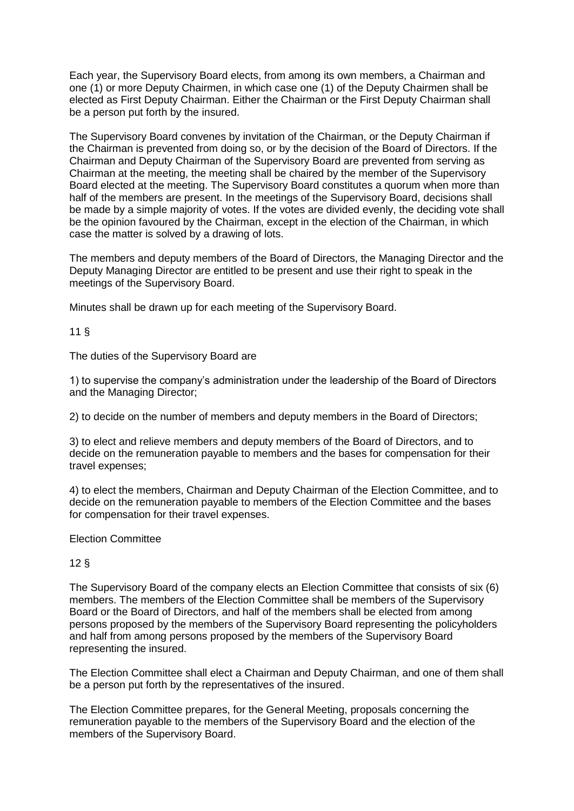Each year, the Supervisory Board elects, from among its own members, a Chairman and one (1) or more Deputy Chairmen, in which case one (1) of the Deputy Chairmen shall be elected as First Deputy Chairman. Either the Chairman or the First Deputy Chairman shall be a person put forth by the insured.

The Supervisory Board convenes by invitation of the Chairman, or the Deputy Chairman if the Chairman is prevented from doing so, or by the decision of the Board of Directors. If the Chairman and Deputy Chairman of the Supervisory Board are prevented from serving as Chairman at the meeting, the meeting shall be chaired by the member of the Supervisory Board elected at the meeting. The Supervisory Board constitutes a quorum when more than half of the members are present. In the meetings of the Supervisory Board, decisions shall be made by a simple majority of votes. If the votes are divided evenly, the deciding vote shall be the opinion favoured by the Chairman, except in the election of the Chairman, in which case the matter is solved by a drawing of lots.

The members and deputy members of the Board of Directors, the Managing Director and the Deputy Managing Director are entitled to be present and use their right to speak in the meetings of the Supervisory Board.

Minutes shall be drawn up for each meeting of the Supervisory Board.

11 §

The duties of the Supervisory Board are

1) to supervise the company's administration under the leadership of the Board of Directors and the Managing Director;

2) to decide on the number of members and deputy members in the Board of Directors;

3) to elect and relieve members and deputy members of the Board of Directors, and to decide on the remuneration payable to members and the bases for compensation for their travel expenses;

4) to elect the members, Chairman and Deputy Chairman of the Election Committee, and to decide on the remuneration payable to members of the Election Committee and the bases for compensation for their travel expenses.

Election Committee

### 12 §

The Supervisory Board of the company elects an Election Committee that consists of six (6) members. The members of the Election Committee shall be members of the Supervisory Board or the Board of Directors, and half of the members shall be elected from among persons proposed by the members of the Supervisory Board representing the policyholders and half from among persons proposed by the members of the Supervisory Board representing the insured.

The Election Committee shall elect a Chairman and Deputy Chairman, and one of them shall be a person put forth by the representatives of the insured.

The Election Committee prepares, for the General Meeting, proposals concerning the remuneration payable to the members of the Supervisory Board and the election of the members of the Supervisory Board.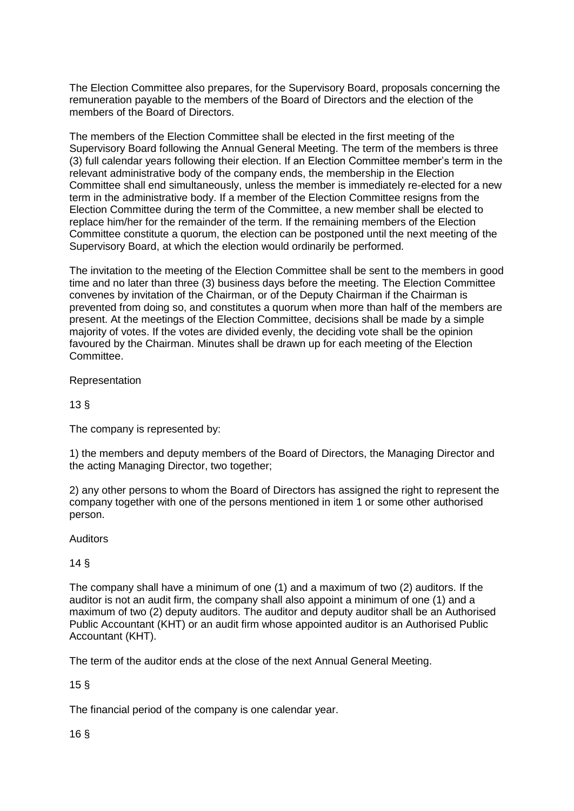The Election Committee also prepares, for the Supervisory Board, proposals concerning the remuneration payable to the members of the Board of Directors and the election of the members of the Board of Directors.

The members of the Election Committee shall be elected in the first meeting of the Supervisory Board following the Annual General Meeting. The term of the members is three (3) full calendar years following their election. If an Election Committee member's term in the relevant administrative body of the company ends, the membership in the Election Committee shall end simultaneously, unless the member is immediately re-elected for a new term in the administrative body. If a member of the Election Committee resigns from the Election Committee during the term of the Committee, a new member shall be elected to replace him/her for the remainder of the term. If the remaining members of the Election Committee constitute a quorum, the election can be postponed until the next meeting of the Supervisory Board, at which the election would ordinarily be performed.

The invitation to the meeting of the Election Committee shall be sent to the members in good time and no later than three (3) business days before the meeting. The Election Committee convenes by invitation of the Chairman, or of the Deputy Chairman if the Chairman is prevented from doing so, and constitutes a quorum when more than half of the members are present. At the meetings of the Election Committee, decisions shall be made by a simple majority of votes. If the votes are divided evenly, the deciding vote shall be the opinion favoured by the Chairman. Minutes shall be drawn up for each meeting of the Election Committee.

Representation

13 §

The company is represented by:

1) the members and deputy members of the Board of Directors, the Managing Director and the acting Managing Director, two together;

2) any other persons to whom the Board of Directors has assigned the right to represent the company together with one of the persons mentioned in item 1 or some other authorised person.

**Auditors** 

14 §

The company shall have a minimum of one (1) and a maximum of two (2) auditors. If the auditor is not an audit firm, the company shall also appoint a minimum of one (1) and a maximum of two (2) deputy auditors. The auditor and deputy auditor shall be an Authorised Public Accountant (KHT) or an audit firm whose appointed auditor is an Authorised Public Accountant (KHT).

The term of the auditor ends at the close of the next Annual General Meeting.

15 §

The financial period of the company is one calendar year.

16 §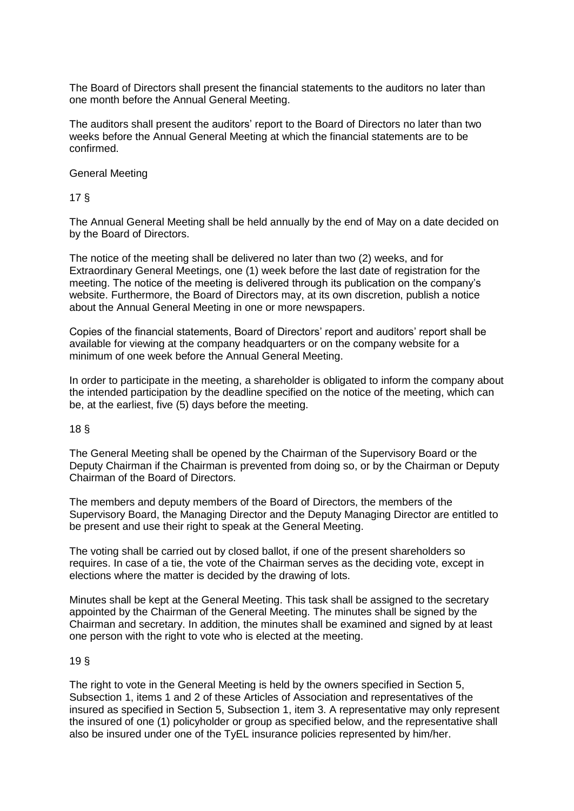The Board of Directors shall present the financial statements to the auditors no later than one month before the Annual General Meeting.

The auditors shall present the auditors' report to the Board of Directors no later than two weeks before the Annual General Meeting at which the financial statements are to be confirmed.

General Meeting

17 §

The Annual General Meeting shall be held annually by the end of May on a date decided on by the Board of Directors.

The notice of the meeting shall be delivered no later than two (2) weeks, and for Extraordinary General Meetings, one (1) week before the last date of registration for the meeting. The notice of the meeting is delivered through its publication on the company's website. Furthermore, the Board of Directors may, at its own discretion, publish a notice about the Annual General Meeting in one or more newspapers.

Copies of the financial statements, Board of Directors' report and auditors' report shall be available for viewing at the company headquarters or on the company website for a minimum of one week before the Annual General Meeting.

In order to participate in the meeting, a shareholder is obligated to inform the company about the intended participation by the deadline specified on the notice of the meeting, which can be, at the earliest, five (5) days before the meeting.

18 §

The General Meeting shall be opened by the Chairman of the Supervisory Board or the Deputy Chairman if the Chairman is prevented from doing so, or by the Chairman or Deputy Chairman of the Board of Directors.

The members and deputy members of the Board of Directors, the members of the Supervisory Board, the Managing Director and the Deputy Managing Director are entitled to be present and use their right to speak at the General Meeting.

The voting shall be carried out by closed ballot, if one of the present shareholders so requires. In case of a tie, the vote of the Chairman serves as the deciding vote, except in elections where the matter is decided by the drawing of lots.

Minutes shall be kept at the General Meeting. This task shall be assigned to the secretary appointed by the Chairman of the General Meeting. The minutes shall be signed by the Chairman and secretary. In addition, the minutes shall be examined and signed by at least one person with the right to vote who is elected at the meeting.

### 19 §

The right to vote in the General Meeting is held by the owners specified in Section 5, Subsection 1, items 1 and 2 of these Articles of Association and representatives of the insured as specified in Section 5, Subsection 1, item 3. A representative may only represent the insured of one (1) policyholder or group as specified below, and the representative shall also be insured under one of the TyEL insurance policies represented by him/her.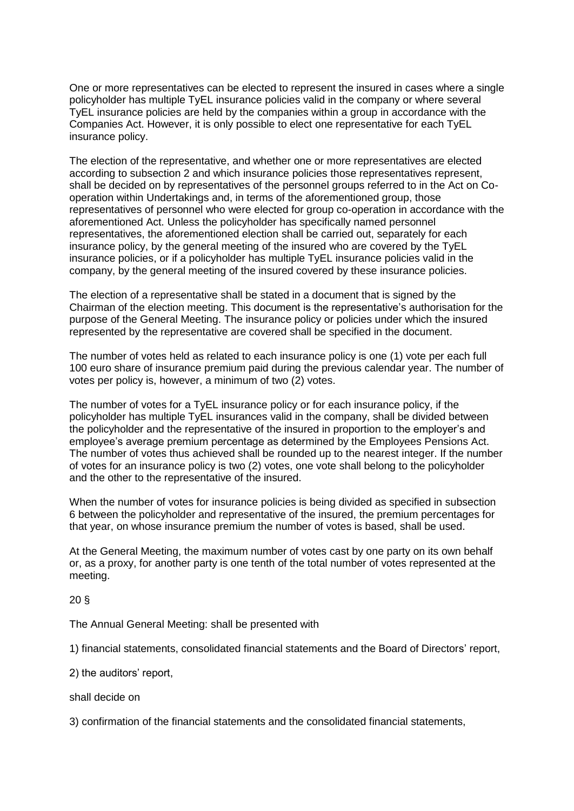One or more representatives can be elected to represent the insured in cases where a single policyholder has multiple TyEL insurance policies valid in the company or where several TyEL insurance policies are held by the companies within a group in accordance with the Companies Act. However, it is only possible to elect one representative for each TyEL insurance policy.

The election of the representative, and whether one or more representatives are elected according to subsection 2 and which insurance policies those representatives represent, shall be decided on by representatives of the personnel groups referred to in the Act on Cooperation within Undertakings and, in terms of the aforementioned group, those representatives of personnel who were elected for group co-operation in accordance with the aforementioned Act. Unless the policyholder has specifically named personnel representatives, the aforementioned election shall be carried out, separately for each insurance policy, by the general meeting of the insured who are covered by the TyEL insurance policies, or if a policyholder has multiple TyEL insurance policies valid in the company, by the general meeting of the insured covered by these insurance policies.

The election of a representative shall be stated in a document that is signed by the Chairman of the election meeting. This document is the representative's authorisation for the purpose of the General Meeting. The insurance policy or policies under which the insured represented by the representative are covered shall be specified in the document.

The number of votes held as related to each insurance policy is one (1) vote per each full 100 euro share of insurance premium paid during the previous calendar year. The number of votes per policy is, however, a minimum of two (2) votes.

The number of votes for a TyEL insurance policy or for each insurance policy, if the policyholder has multiple TyEL insurances valid in the company, shall be divided between the policyholder and the representative of the insured in proportion to the employer's and employee's average premium percentage as determined by the Employees Pensions Act. The number of votes thus achieved shall be rounded up to the nearest integer. If the number of votes for an insurance policy is two (2) votes, one vote shall belong to the policyholder and the other to the representative of the insured.

When the number of votes for insurance policies is being divided as specified in subsection 6 between the policyholder and representative of the insured, the premium percentages for that year, on whose insurance premium the number of votes is based, shall be used.

At the General Meeting, the maximum number of votes cast by one party on its own behalf or, as a proxy, for another party is one tenth of the total number of votes represented at the meeting.

20 §

The Annual General Meeting: shall be presented with

1) financial statements, consolidated financial statements and the Board of Directors' report,

2) the auditors' report,

shall decide on

3) confirmation of the financial statements and the consolidated financial statements,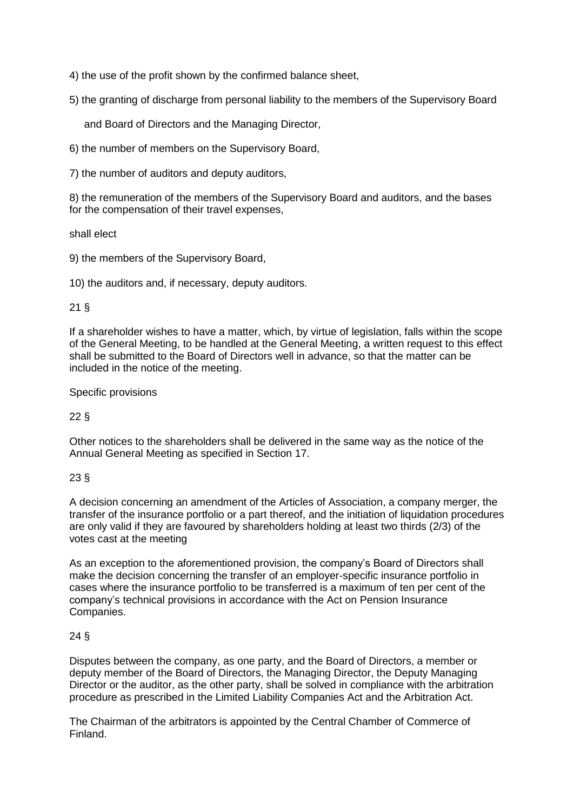4) the use of the profit shown by the confirmed balance sheet,

5) the granting of discharge from personal liability to the members of the Supervisory Board

and Board of Directors and the Managing Director,

6) the number of members on the Supervisory Board,

7) the number of auditors and deputy auditors,

8) the remuneration of the members of the Supervisory Board and auditors, and the bases for the compensation of their travel expenses,

shall elect

9) the members of the Supervisory Board,

10) the auditors and, if necessary, deputy auditors.

## 21 §

If a shareholder wishes to have a matter, which, by virtue of legislation, falls within the scope of the General Meeting, to be handled at the General Meeting, a written request to this effect shall be submitted to the Board of Directors well in advance, so that the matter can be included in the notice of the meeting.

#### Specific provisions

### 22 §

Other notices to the shareholders shall be delivered in the same way as the notice of the Annual General Meeting as specified in Section 17.

### 23 §

A decision concerning an amendment of the Articles of Association, a company merger, the transfer of the insurance portfolio or a part thereof, and the initiation of liquidation procedures are only valid if they are favoured by shareholders holding at least two thirds (2/3) of the votes cast at the meeting

As an exception to the aforementioned provision, the company's Board of Directors shall make the decision concerning the transfer of an employer-specific insurance portfolio in cases where the insurance portfolio to be transferred is a maximum of ten per cent of the company's technical provisions in accordance with the Act on Pension Insurance Companies.

### 24 §

Disputes between the company, as one party, and the Board of Directors, a member or deputy member of the Board of Directors, the Managing Director, the Deputy Managing Director or the auditor, as the other party, shall be solved in compliance with the arbitration procedure as prescribed in the Limited Liability Companies Act and the Arbitration Act.

The Chairman of the arbitrators is appointed by the Central Chamber of Commerce of Finland.